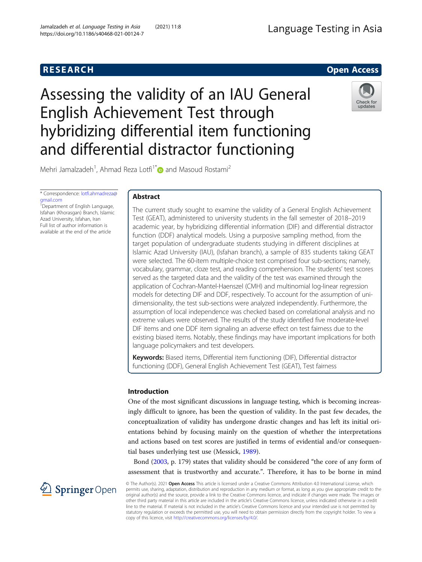# **RESEARCH RESEARCH CONSUMING ACCESS**

# Assessing the validity of an IAU General English Achievement Test through hybridizing differential item functioning and differential distractor functioning



Mehri Jamalzadeh<sup>1</sup>, Ahmad Reza Lotfi<sup>1\*</sup> and Masoud Rostami<sup>2</sup>

\* Correspondence: [lotfi.ahmadreza@](mailto:lotfi.ahmadreza@gmail.com) [gmail.com](mailto:lotfi.ahmadreza@gmail.com)

<sup>1</sup>Department of English Language, Isfahan (Khorasgan) Branch, Islamic Azad University, Isfahan, Iran Full list of author information is available at the end of the article

## Abstract

The current study sought to examine the validity of a General English Achievement Test (GEAT), administered to university students in the fall semester of 2018–2019 academic year, by hybridizing differential information (DIF) and differential distractor function (DDF) analytical models. Using a purposive sampling method, from the target population of undergraduate students studying in different disciplines at Islamic Azad University (IAU), (Isfahan branch), a sample of 835 students taking GEAT were selected. The 60-item multiple-choice test comprised four sub-sections; namely, vocabulary, grammar, cloze test, and reading comprehension. The students' test scores served as the targeted data and the validity of the test was examined through the application of Cochran-Mantel-Haenszel (CMH) and multinomial log-linear regression models for detecting DIF and DDF, respectively. To account for the assumption of unidimensionality, the test sub-sections were analyzed independently. Furthermore, the assumption of local independence was checked based on correlational analysis and no extreme values were observed. The results of the study identified five moderate-level DIF items and one DDF item signaling an adverse effect on test fairness due to the existing biased items. Notably, these findings may have important implications for both language policymakers and test developers.

Keywords: Biased items, Differential item functioning (DIF), Differential distractor functioning (DDF), General English Achievement Test (GEAT), Test fairness

## Introduction

One of the most significant discussions in language testing, which is becoming increasingly difficult to ignore, has been the question of validity. In the past few decades, the conceptualization of validity has undergone drastic changes and has left its initial orientations behind by focusing mainly on the question of whether the interpretations and actions based on test scores are justified in terms of evidential and/or consequential bases underlying test use (Messick, [1989](#page-16-0)).

Bond [\(2003](#page-15-0), p. 179) states that validity should be considered "the core of any form of assessment that is trustworthy and accurate.". Therefore, it has to be borne in mind

2 Springer Open

© The Author(s). 2021 Open Access This article is licensed under a Creative Commons Attribution 4.0 International License, which permits use, sharing, adaptation, distribution and reproduction in any medium or format, as long as you give appropriate credit to the original author(s) and the source, provide a link to the Creative Commons licence, and indicate if changes were made. The images or other third party material in this article are included in the article's Creative Commons licence, unless indicated otherwise in a credit line to the material. If material is not included in the article's Creative Commons licence and your intended use is not permitted by statutory regulation or exceeds the permitted use, you will need to obtain permission directly from the copyright holder. To view a copy of this licence, visit <http://creativecommons.org/licenses/by/4.0/>.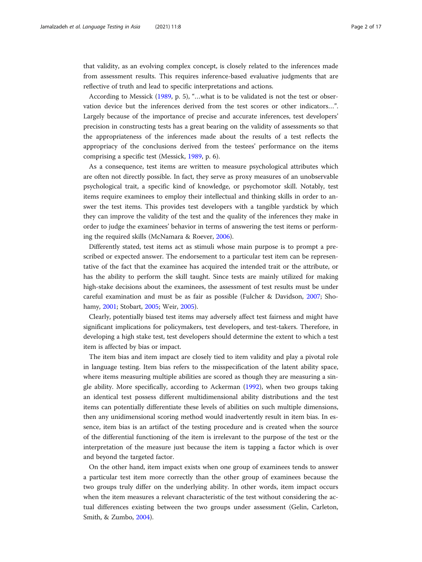that validity, as an evolving complex concept, is closely related to the inferences made from assessment results. This requires inference-based evaluative judgments that are reflective of truth and lead to specific interpretations and actions.

According to Messick [\(1989,](#page-16-0) p. 5), "…what is to be validated is not the test or observation device but the inferences derived from the test scores or other indicators…". Largely because of the importance of precise and accurate inferences, test developers' precision in constructing tests has a great bearing on the validity of assessments so that the appropriateness of the inferences made about the results of a test reflects the appropriacy of the conclusions derived from the testees' performance on the items comprising a specific test (Messick, [1989,](#page-16-0) p. 6).

As a consequence, test items are written to measure psychological attributes which are often not directly possible. In fact, they serve as proxy measures of an unobservable psychological trait, a specific kind of knowledge, or psychomotor skill. Notably, test items require examinees to employ their intellectual and thinking skills in order to answer the test items. This provides test developers with a tangible yardstick by which they can improve the validity of the test and the quality of the inferences they make in order to judge the examinees' behavior in terms of answering the test items or performing the required skills (McNamara & Roever, [2006\)](#page-16-0).

Differently stated, test items act as stimuli whose main purpose is to prompt a prescribed or expected answer. The endorsement to a particular test item can be representative of the fact that the examinee has acquired the intended trait or the attribute, or has the ability to perform the skill taught. Since tests are mainly utilized for making high-stake decisions about the examinees, the assessment of test results must be under careful examination and must be as fair as possible (Fulcher & Davidson, [2007](#page-15-0); Shohamy, [2001;](#page-16-0) Stobart, [2005](#page-16-0); Weir, [2005](#page-16-0)).

Clearly, potentially biased test items may adversely affect test fairness and might have significant implications for policymakers, test developers, and test-takers. Therefore, in developing a high stake test, test developers should determine the extent to which a test item is affected by bias or impact.

The item bias and item impact are closely tied to item validity and play a pivotal role in language testing. Item bias refers to the misspecification of the latent ability space, where items measuring multiple abilities are scored as though they are measuring a single ability. More specifically, according to Ackerman ([1992](#page-15-0)), when two groups taking an identical test possess different multidimensional ability distributions and the test items can potentially differentiate these levels of abilities on such multiple dimensions, then any unidimensional scoring method would inadvertently result in item bias. In essence, item bias is an artifact of the testing procedure and is created when the source of the differential functioning of the item is irrelevant to the purpose of the test or the interpretation of the measure just because the item is tapping a factor which is over and beyond the targeted factor.

On the other hand, item impact exists when one group of examinees tends to answer a particular test item more correctly than the other group of examinees because the two groups truly differ on the underlying ability. In other words, item impact occurs when the item measures a relevant characteristic of the test without considering the actual differences existing between the two groups under assessment (Gelin, Carleton, Smith, & Zumbo, [2004\)](#page-15-0).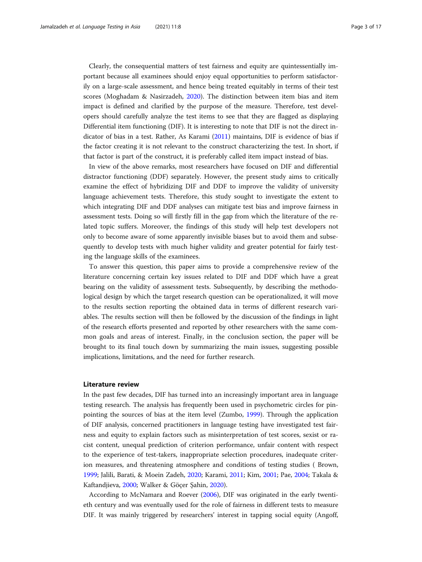Clearly, the consequential matters of test fairness and equity are quintessentially important because all examinees should enjoy equal opportunities to perform satisfactorily on a large-scale assessment, and hence being treated equitably in terms of their test scores (Moghadam & Nasirzadeh, [2020](#page-16-0)). The distinction between item bias and item impact is defined and clarified by the purpose of the measure. Therefore, test developers should carefully analyze the test items to see that they are flagged as displaying Differential item functioning (DIF). It is interesting to note that DIF is not the direct indicator of bias in a test. Rather, As Karami ([2011](#page-15-0)) maintains, DIF is evidence of bias if the factor creating it is not relevant to the construct characterizing the test. In short, if that factor is part of the construct, it is preferably called item impact instead of bias.

In view of the above remarks, most researchers have focused on DIF and differential distractor functioning (DDF) separately. However, the present study aims to critically examine the effect of hybridizing DIF and DDF to improve the validity of university language achievement tests. Therefore, this study sought to investigate the extent to which integrating DIF and DDF analyses can mitigate test bias and improve fairness in assessment tests. Doing so will firstly fill in the gap from which the literature of the related topic suffers. Moreover, the findings of this study will help test developers not only to become aware of some apparently invisible biases but to avoid them and subsequently to develop tests with much higher validity and greater potential for fairly testing the language skills of the examinees.

To answer this question, this paper aims to provide a comprehensive review of the literature concerning certain key issues related to DIF and DDF which have a great bearing on the validity of assessment tests. Subsequently, by describing the methodological design by which the target research question can be operationalized, it will move to the results section reporting the obtained data in terms of different research variables. The results section will then be followed by the discussion of the findings in light of the research efforts presented and reported by other researchers with the same common goals and areas of interest. Finally, in the conclusion section, the paper will be brought to its final touch down by summarizing the main issues, suggesting possible implications, limitations, and the need for further research.

#### Literature review

In the past few decades, DIF has turned into an increasingly important area in language testing research. The analysis has frequently been used in psychometric circles for pinpointing the sources of bias at the item level (Zumbo, [1999](#page-16-0)). Through the application of DIF analysis, concerned practitioners in language testing have investigated test fairness and equity to explain factors such as misinterpretation of test scores, sexist or racist content, unequal prediction of criterion performance, unfair content with respect to the experience of test-takers, inappropriate selection procedures, inadequate criterion measures, and threatening atmosphere and conditions of testing studies ( Brown, [1999](#page-15-0); Jalili, Barati, & Moein Zadeh, [2020](#page-15-0); Karami, [2011;](#page-15-0) Kim, [2001](#page-15-0); Pae, [2004](#page-16-0); Takala & Kaftandjieva, [2000;](#page-16-0) Walker & Göçer Şahin, [2020\)](#page-16-0).

According to McNamara and Roever ([2006](#page-16-0)), DIF was originated in the early twentieth century and was eventually used for the role of fairness in different tests to measure DIF. It was mainly triggered by researchers' interest in tapping social equity (Angoff,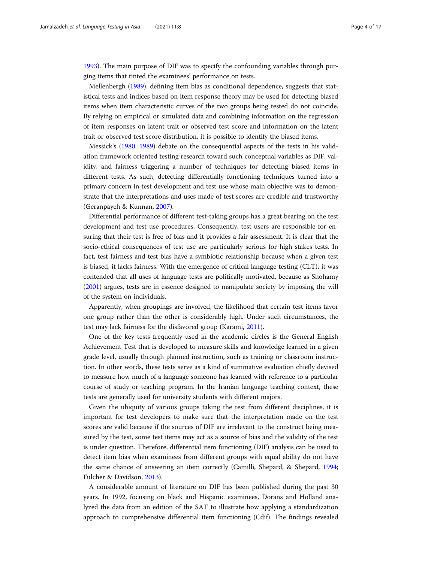[1993](#page-15-0)). The main purpose of DIF was to specify the confounding variables through purging items that tinted the examinees' performance on tests.

Mellenbergh ([1989](#page-16-0)), defining item bias as conditional dependence, suggests that statistical tests and indices based on item response theory may be used for detecting biased items when item characteristic curves of the two groups being tested do not coincide. By relying on empirical or simulated data and combining information on the regression of item responses on latent trait or observed test score and information on the latent trait or observed test score distribution, it is possible to identify the biased items.

Messick's [\(1980,](#page-16-0) [1989](#page-16-0)) debate on the consequential aspects of the tests in his validation framework oriented testing research toward such conceptual variables as DIF, validity, and fairness triggering a number of techniques for detecting biased items in different tests. As such, detecting differentially functioning techniques turned into a primary concern in test development and test use whose main objective was to demonstrate that the interpretations and uses made of test scores are credible and trustworthy (Geranpayeh & Kunnan, [2007\)](#page-15-0).

Differential performance of different test-taking groups has a great bearing on the test development and test use procedures. Consequently, test users are responsible for ensuring that their test is free of bias and it provides a fair assessment. It is clear that the socio-ethical consequences of test use are particularly serious for high stakes tests. In fact, test fairness and test bias have a symbiotic relationship because when a given test is biased, it lacks fairness. With the emergence of critical language testing (CLT), it was contended that all uses of language tests are politically motivated, because as Shohamy ([2001](#page-16-0)) argues, tests are in essence designed to manipulate society by imposing the will of the system on individuals.

Apparently, when groupings are involved, the likelihood that certain test items favor one group rather than the other is considerably high. Under such circumstances, the test may lack fairness for the disfavored group (Karami, [2011\)](#page-15-0).

One of the key tests frequently used in the academic circles is the General English Achievement Test that is developed to measure skills and knowledge learned in a given grade level, usually through planned instruction, such as training or classroom instruction. In other words, these tests serve as a kind of summative evaluation chiefly devised to measure how much of a language someone has learned with reference to a particular course of study or teaching program. In the Iranian language teaching context, these tests are generally used for university students with different majors.

Given the ubiquity of various groups taking the test from different disciplines, it is important for test developers to make sure that the interpretation made on the test scores are valid because if the sources of DIF are irrelevant to the construct being measured by the test, some test items may act as a source of bias and the validity of the test is under question. Therefore, differential item functioning (DIF) analysis can be used to detect item bias when examinees from different groups with equal ability do not have the same chance of answering an item correctly (Camilli, Shepard, & Shepard, [1994](#page-15-0); Fulcher & Davidson, [2013](#page-15-0)).

A considerable amount of literature on DIF has been published during the past 30 years. In 1992, focusing on black and Hispanic examinees, Dorans and Holland analyzed the data from an edition of the SAT to illustrate how applying a standardization approach to comprehensive differential item functioning (Cdif). The findings revealed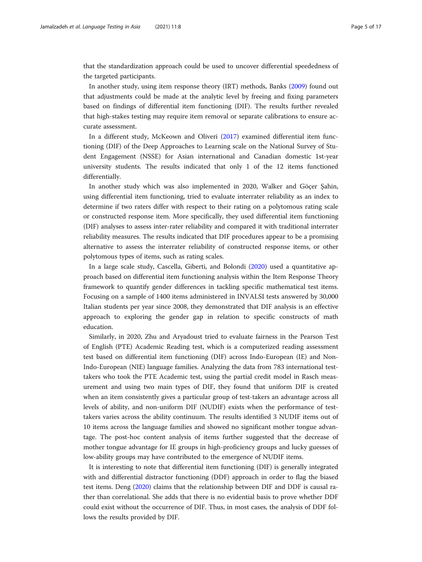that the standardization approach could be used to uncover differential speededness of the targeted participants.

In another study, using item response theory (IRT) methods, Banks ([2009\)](#page-15-0) found out that adjustments could be made at the analytic level by freeing and fixing parameters based on findings of differential item functioning (DIF). The results further revealed that high-stakes testing may require item removal or separate calibrations to ensure accurate assessment.

In a different study, McKeown and Oliveri ([2017](#page-16-0)) examined differential item functioning (DIF) of the Deep Approaches to Learning scale on the National Survey of Student Engagement (NSSE) for Asian international and Canadian domestic 1st-year university students. The results indicated that only 1 of the 12 items functioned differentially.

In another study which was also implemented in 2020, Walker and Göçer Şahin, using differential item functioning, tried to evaluate interrater reliability as an index to determine if two raters differ with respect to their rating on a polytomous rating scale or constructed response item. More specifically, they used differential item functioning (DIF) analyses to assess inter-rater reliability and compared it with traditional interrater reliability measures. The results indicated that DIF procedures appear to be a promising alternative to assess the interrater reliability of constructed response items, or other polytomous types of items, such as rating scales.

In a large scale study, Cascella, Giberti, and Bolondi [\(2020\)](#page-15-0) used a quantitative approach based on differential item functioning analysis within the Item Response Theory framework to quantify gender differences in tackling specific mathematical test items. Focusing on a sample of 1400 items administered in INVALSI tests answered by 30,000 Italian students per year since 2008, they demonstrated that DIF analysis is an effective approach to exploring the gender gap in relation to specific constructs of math education.

Similarly, in 2020, Zhu and Aryadoust tried to evaluate fairness in the Pearson Test of English (PTE) Academic Reading test, which is a computerized reading assessment test based on differential item functioning (DIF) across Indo-European (IE) and Non-Indo-European (NIE) language families. Analyzing the data from 783 international testtakers who took the PTE Academic test, using the partial credit model in Rasch measurement and using two main types of DIF, they found that uniform DIF is created when an item consistently gives a particular group of test-takers an advantage across all levels of ability, and non-uniform DIF (NUDIF) exists when the performance of testtakers varies across the ability continuum. The results identified 3 NUDIF items out of 10 items across the language families and showed no significant mother tongue advantage. The post-hoc content analysis of items further suggested that the decrease of mother tongue advantage for IE groups in high-proficiency groups and lucky guesses of low-ability groups may have contributed to the emergence of NUDIF items.

It is interesting to note that differential item functioning (DIF) is generally integrated with and differential distractor functioning (DDF) approach in order to flag the biased test items. Deng ([2020](#page-15-0)) claims that the relationship between DIF and DDF is causal rather than correlational. She adds that there is no evidential basis to prove whether DDF could exist without the occurrence of DIF. Thus, in most cases, the analysis of DDF follows the results provided by DIF.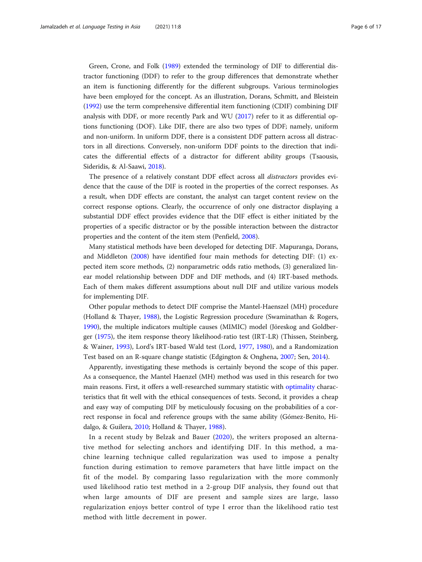Green, Crone, and Folk [\(1989\)](#page-15-0) extended the terminology of DIF to differential distractor functioning (DDF) to refer to the group differences that demonstrate whether an item is functioning differently for the different subgroups. Various terminologies have been employed for the concept. As an illustration, Dorans, Schmitt, and Bleistein ([1992](#page-15-0)) use the term comprehensive differential item functioning (CDIF) combining DIF analysis with DDF, or more recently Park and WU [\(2017\)](#page-16-0) refer to it as differential options functioning (DOF). Like DIF, there are also two types of DDF; namely, uniform and non-uniform. In uniform DDF, there is a consistent DDF pattern across all distractors in all directions. Conversely, non-uniform DDF points to the direction that indicates the differential effects of a distractor for different ability groups (Tsaousis, Sideridis, & Al-Saawi, [2018\)](#page-16-0).

The presence of a relatively constant DDF effect across all distractors provides evidence that the cause of the DIF is rooted in the properties of the correct responses. As a result, when DDF effects are constant, the analyst can target content review on the correct response options. Clearly, the occurrence of only one distractor displaying a substantial DDF effect provides evidence that the DIF effect is either initiated by the properties of a specific distractor or by the possible interaction between the distractor properties and the content of the item stem (Penfield, [2008\)](#page-16-0).

Many statistical methods have been developed for detecting DIF. Mapuranga, Dorans, and Middleton ([2008](#page-15-0)) have identified four main methods for detecting DIF: (1) expected item score methods, (2) nonparametric odds ratio methods, (3) generalized linear model relationship between DDF and DIF methods, and (4) IRT-based methods. Each of them makes different assumptions about null DIF and utilize various models for implementing DIF.

Other popular methods to detect DIF comprise the Mantel-Haenszel (MH) procedure (Holland & Thayer, [1988](#page-15-0)), the Logistic Regression procedure (Swaminathan & Rogers, [1990](#page-16-0)), the multiple indicators multiple causes (MIMIC) model (Jöreskog and Goldberger ([1975\)](#page-15-0), the item response theory likelihood-ratio test (IRT-LR) (Thissen, Steinberg, & Wainer, [1993](#page-16-0)), Lord's IRT-based Wald test (Lord, [1977](#page-15-0), [1980](#page-15-0)), and a Randomization Test based on an R-square change statistic (Edgington & Onghena, [2007](#page-15-0); Sen, [2014](#page-16-0)).

Apparently, investigating these methods is certainly beyond the scope of this paper. As a consequence, the Mantel Haenzel (MH) method was used in this research for two main reasons. First, it offers a well-researched summary statistic with [optimality](https://www.sciencedirect.com/topics/mathematics/optimality) characteristics that fit well with the ethical consequences of tests. Second, it provides a cheap and easy way of computing DIF by meticulously focusing on the probabilities of a correct response in focal and reference groups with the same ability (Gómez-Benito, Hidalgo, & Guilera, [2010;](#page-15-0) Holland & Thayer, [1988](#page-15-0)).

In a recent study by Belzak and Bauer ([2020\)](#page-15-0), the writers proposed an alternative method for selecting anchors and identifying DIF. In this method, a machine learning technique called regularization was used to impose a penalty function during estimation to remove parameters that have little impact on the fit of the model. By comparing lasso regularization with the more commonly used likelihood ratio test method in a 2-group DIF analysis, they found out that when large amounts of DIF are present and sample sizes are large, lasso regularization enjoys better control of type I error than the likelihood ratio test method with little decrement in power.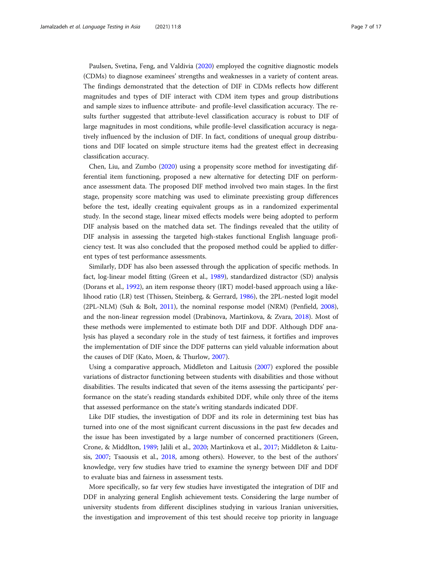Paulsen, Svetina, Feng, and Valdivia [\(2020\)](#page-16-0) employed the cognitive diagnostic models (CDMs) to diagnose examinees' strengths and weaknesses in a variety of content areas. The findings demonstrated that the detection of DIF in CDMs reflects how different magnitudes and types of DIF interact with CDM item types and group distributions and sample sizes to influence attribute- and profile-level classification accuracy. The results further suggested that attribute-level classification accuracy is robust to DIF of large magnitudes in most conditions, while profile-level classification accuracy is negatively influenced by the inclusion of DIF. In fact, conditions of unequal group distributions and DIF located on simple structure items had the greatest effect in decreasing classification accuracy.

Chen, Liu, and Zumbo [\(2020](#page-15-0)) using a propensity score method for investigating differential item functioning, proposed a new alternative for detecting DIF on performance assessment data. The proposed DIF method involved two main stages. In the first stage, propensity score matching was used to eliminate preexisting group differences before the test, ideally creating equivalent groups as in a randomized experimental study. In the second stage, linear mixed effects models were being adopted to perform DIF analysis based on the matched data set. The findings revealed that the utility of DIF analysis in assessing the targeted high-stakes functional English language proficiency test. It was also concluded that the proposed method could be applied to different types of test performance assessments.

Similarly, DDF has also been assessed through the application of specific methods. In fact, log-linear model fitting (Green et al., [1989\)](#page-15-0), standardized distractor (SD) analysis (Dorans et al., [1992](#page-15-0)), an item response theory (IRT) model-based approach using a likelihood ratio (LR) test (Thissen, Steinberg, & Gerrard, [1986\)](#page-16-0), the 2PL-nested logit model (2PL-NLM) (Suh & Bolt, [2011](#page-16-0)), the nominal response model (NRM) (Penfield, [2008](#page-16-0)), and the non-linear regression model (Drabinova, Martinkova, & Zvara, [2018](#page-15-0)). Most of these methods were implemented to estimate both DIF and DDF. Although DDF analysis has played a secondary role in the study of test fairness, it fortifies and improves the implementation of DIF since the DDF patterns can yield valuable information about the causes of DIF (Kato, Moen, & Thurlow, [2007\)](#page-15-0).

Using a comparative approach, Middleton and Laitusis [\(2007](#page-16-0)) explored the possible variations of distractor functioning between students with disabilities and those without disabilities. The results indicated that seven of the items assessing the participants' performance on the state's reading standards exhibited DDF, while only three of the items that assessed performance on the state's writing standards indicated DDF.

Like DIF studies, the investigation of DDF and its role in determining test bias has turned into one of the most significant current discussions in the past few decades and the issue has been investigated by a large number of concerned practitioners (Green, Crone, & Middlton, [1989](#page-15-0); Jalili et al., [2020;](#page-15-0) Martinkova et al., [2017;](#page-15-0) Middleton & Laitusis, [2007;](#page-16-0) Tsaousis et al., [2018](#page-16-0), among others). However, to the best of the authors' knowledge, very few studies have tried to examine the synergy between DIF and DDF to evaluate bias and fairness in assessment tests.

More specifically, so far very few studies have investigated the integration of DIF and DDF in analyzing general English achievement tests. Considering the large number of university students from different disciplines studying in various Iranian universities, the investigation and improvement of this test should receive top priority in language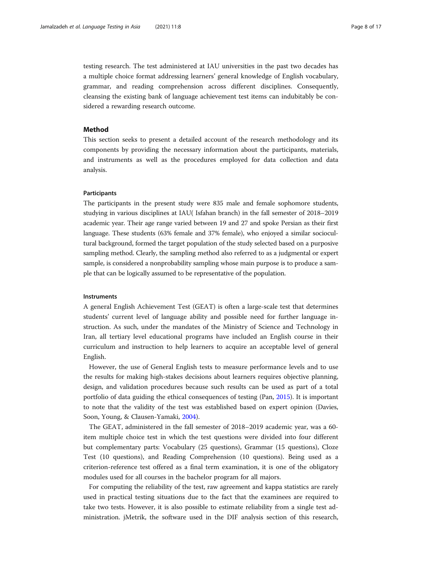testing research. The test administered at IAU universities in the past two decades has a multiple choice format addressing learners' general knowledge of English vocabulary, grammar, and reading comprehension across different disciplines. Consequently, cleansing the existing bank of language achievement test items can indubitably be considered a rewarding research outcome.

#### Method

This section seeks to present a detailed account of the research methodology and its components by providing the necessary information about the participants, materials, and instruments as well as the procedures employed for data collection and data analysis.

#### Participants

The participants in the present study were 835 male and female sophomore students, studying in various disciplines at IAU( Isfahan branch) in the fall semester of 2018–2019 academic year. Their age range varied between 19 and 27 and spoke Persian as their first language. These students (63% female and 37% female), who enjoyed a similar sociocultural background, formed the target population of the study selected based on a purposive sampling method. Clearly, the sampling method also referred to as a judgmental or expert sample, is considered a nonprobability sampling whose main purpose is to produce a sample that can be logically assumed to be representative of the population.

#### **Instruments**

A general English Achievement Test (GEAT) is often a large-scale test that determines students' current level of language ability and possible need for further language instruction. As such, under the mandates of the Ministry of Science and Technology in Iran, all tertiary level educational programs have included an English course in their curriculum and instruction to help learners to acquire an acceptable level of general English.

However, the use of General English tests to measure performance levels and to use the results for making high-stakes decisions about learners requires objective planning, design, and validation procedures because such results can be used as part of a total portfolio of data guiding the ethical consequences of testing (Pan, [2015\)](#page-16-0). It is important to note that the validity of the test was established based on expert opinion (Davies, Soon, Young, & Clausen-Yamaki, [2004\)](#page-15-0).

The GEAT, administered in the fall semester of 2018–2019 academic year, was a 60 item multiple choice test in which the test questions were divided into four different but complementary parts: Vocabulary (25 questions), Grammar (15 questions), Cloze Test (10 questions), and Reading Comprehension (10 questions). Being used as a criterion-reference test offered as a final term examination, it is one of the obligatory modules used for all courses in the bachelor program for all majors.

For computing the reliability of the test, raw agreement and kappa statistics are rarely used in practical testing situations due to the fact that the examinees are required to take two tests. However, it is also possible to estimate reliability from a single test administration. jMetrik, the software used in the DIF analysis section of this research,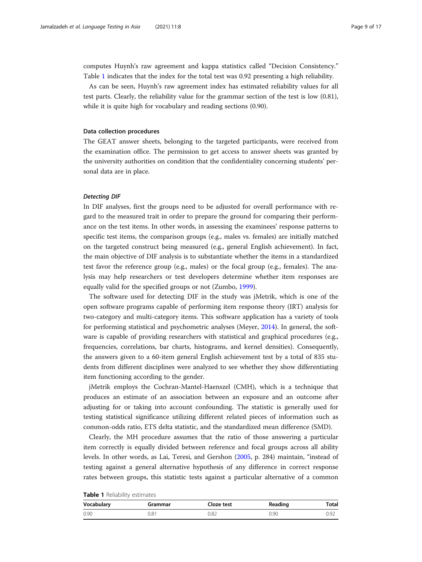computes Huynh's raw agreement and kappa statistics called "Decision Consistency." Table 1 indicates that the index for the total test was 0.92 presenting a high reliability.

As can be seen, Huynh's raw agreement index has estimated reliability values for all test parts. Clearly, the reliability value for the grammar section of the test is low (0.81), while it is quite high for vocabulary and reading sections (0.90).

#### Data collection procedures

The GEAT answer sheets, belonging to the targeted participants, were received from the examination office. The permission to get access to answer sheets was granted by the university authorities on condition that the confidentiality concerning students' personal data are in place.

In DIF analyses, first the groups need to be adjusted for overall performance with regard to the measured trait in order to prepare the ground for comparing their performance on the test items. In other words, in assessing the examinees' response patterns to specific test items, the comparison groups (e.g., males vs. females) are initially matched on the targeted construct being measured (e.g., general English achievement). In fact, the main objective of DIF analysis is to substantiate whether the items in a standardized test favor the reference group (e.g., males) or the focal group (e.g., females). The analysis may help researchers or test developers determine whether item responses are equally valid for the specified groups or not (Zumbo, [1999](#page-16-0)).

The software used for detecting DIF in the study was jMetrik, which is one of the open software programs capable of performing item response theory (IRT) analysis for two-category and multi-category items. This software application has a variety of tools for performing statistical and psychometric analyses (Meyer, [2014](#page-16-0)). In general, the software is capable of providing researchers with statistical and graphical procedures (e.g., frequencies, correlations, bar charts, histograms, and kernel densities). Consequently, the answers given to a 60-item general English achievement test by a total of 835 students from different disciplines were analyzed to see whether they show differentiating item functioning according to the gender.

jMetrik employs the Cochran-Mantel-Haenszel (CMH), which is a technique that produces an estimate of an association between an exposure and an outcome after adjusting for or taking into account confounding. The statistic is generally used for testing statistical significance utilizing different related pieces of information such as common-odds ratio, ETS delta statistic, and the standardized mean difference (SMD).

Clearly, the MH procedure assumes that the ratio of those answering a particular item correctly is equally divided between reference and focal groups across all ability levels. In other words, as Lai, Teresi, and Gershon [\(2005,](#page-15-0) p. 284) maintain, "instead of testing against a general alternative hypothesis of any difference in correct response rates between groups, this statistic tests against a particular alternative of a common

| <b>Table 1</b> Reliability estimates |  |
|--------------------------------------|--|
|--------------------------------------|--|

| Vocabulary | Grammar | Cloze test | Reading | Total |
|------------|---------|------------|---------|-------|
| 0.90       | 0.81    | 0.82       | 0.90    | 0.92  |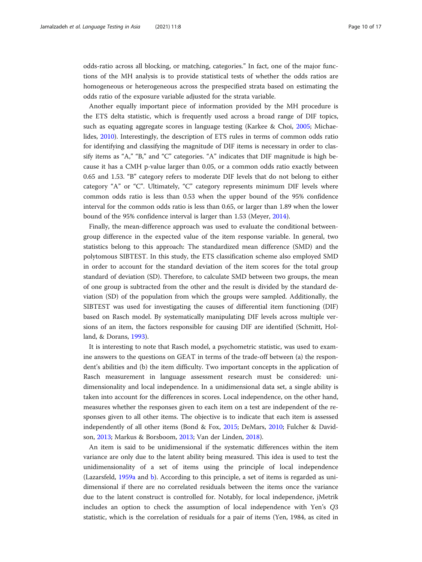odds-ratio across all blocking, or matching, categories." In fact, one of the major functions of the MH analysis is to provide statistical tests of whether the odds ratios are homogeneous or heterogeneous across the prespecified strata based on estimating the odds ratio of the exposure variable adjusted for the strata variable.

Another equally important piece of information provided by the MH procedure is the ETS delta statistic, which is frequently used across a broad range of DIF topics, such as equating aggregate scores in language testing (Karkee & Choi, [2005;](#page-15-0) Michaelides, [2010](#page-16-0)). Interestingly, the description of ETS rules in terms of common odds ratio for identifying and classifying the magnitude of DIF items is necessary in order to classify items as "A," "B," and "C" categories. "A" indicates that DIF magnitude is high because it has a CMH p-value larger than 0.05, or a common odds ratio exactly between 0.65 and 1.53. "B" category refers to moderate DIF levels that do not belong to either category "A" or "C". Ultimately, "C" category represents minimum DIF levels where common odds ratio is less than 0.53 when the upper bound of the 95% confidence interval for the common odds ratio is less than 0.65, or larger than 1.89 when the lower bound of the 95% confidence interval is larger than 1.53 (Meyer, [2014](#page-16-0)).

Finally, the mean-difference approach was used to evaluate the conditional betweengroup difference in the expected value of the item response variable. In general, two statistics belong to this approach: The standardized mean difference (SMD) and the polytomous SIBTEST. In this study, the ETS classification scheme also employed SMD in order to account for the standard deviation of the item scores for the total group standard of deviation (SD). Therefore, to calculate SMD between two groups, the mean of one group is subtracted from the other and the result is divided by the standard deviation (SD) of the population from which the groups were sampled. Additionally, the SIBTEST was used for investigating the causes of differential item functioning (DIF) based on Rasch model. By systematically manipulating DIF levels across multiple versions of an item, the factors responsible for causing DIF are identified (Schmitt, Holland, & Dorans, [1993\)](#page-16-0).

It is interesting to note that Rasch model, a psychometric statistic, was used to examine answers to the questions on GEAT in terms of the trade-off between (a) the respondent's abilities and (b) the item difficulty. Two important concepts in the application of Rasch measurement in language assessment research must be considered: unidimensionality and local independence. In a unidimensional data set, a single ability is taken into account for the differences in scores. Local independence, on the other hand, measures whether the responses given to each item on a test are independent of the responses given to all other items. The objective is to indicate that each item is assessed independently of all other items (Bond & Fox, [2015](#page-15-0); DeMars, [2010](#page-15-0); Fulcher & Davidson, [2013;](#page-15-0) Markus & Borsboom, [2013;](#page-16-0) Van der Linden, [2018\)](#page-16-0).

An item is said to be unidimensional if the systematic differences within the item variance are only due to the latent ability being measured. This idea is used to test the unidimensionality of a set of items using the principle of local independence (Lazarsfeld, [1959a](#page-15-0) and [b\)](#page-15-0). According to this principle, a set of items is regarded as unidimensional if there are no correlated residuals between the items once the variance due to the latent construct is controlled for. Notably, for local independence, jMetrik includes an option to check the assumption of local independence with Yen's Q3 statistic, which is the correlation of residuals for a pair of items (Yen, 1984, as cited in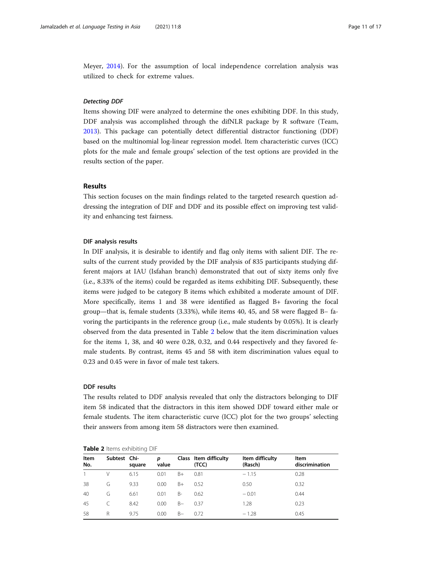Meyer, [2014](#page-16-0)). For the assumption of local independence correlation analysis was utilized to check for extreme values.

Items showing DIF were analyzed to determine the ones exhibiting DDF. In this study, DDF analysis was accomplished through the difNLR package by R software (Team, [2013](#page-16-0)). This package can potentially detect differential distractor functioning (DDF) based on the multinomial log-linear regression model. Item characteristic curves (ICC) plots for the male and female groups' selection of the test options are provided in the results section of the paper.

#### Results

This section focuses on the main findings related to the targeted research question addressing the integration of DIF and DDF and its possible effect on improving test validity and enhancing test fairness.

#### DIF analysis results

In DIF analysis, it is desirable to identify and flag only items with salient DIF. The results of the current study provided by the DIF analysis of 835 participants studying different majors at IAU (Isfahan branch) demonstrated that out of sixty items only five (i.e., 8.33% of the items) could be regarded as items exhibiting DIF. Subsequently, these items were judged to be category B items which exhibited a moderate amount of DIF. More specifically, items 1 and 38 were identified as flagged B+ favoring the focal group—that is, female students (3.33%), while items 40, 45, and 58 were flagged B− favoring the participants in the reference group (i.e., male students by 0.05%). It is clearly observed from the data presented in Table 2 below that the item discrimination values for the items 1, 38, and 40 were 0.28, 0.32, and 0.44 respectively and they favored female students. By contrast, items 45 and 58 with item discrimination values equal to 0.23 and 0.45 were in favor of male test takers.

#### DDF results

The results related to DDF analysis revealed that only the distractors belonging to DIF item 58 indicated that the distractors in this item showed DDF toward either male or female students. The item characteristic curve (ICC) plot for the two groups' selecting their answers from among item 58 distractors were then examined.

| Item<br>No. | Subtest Chi- | square | p<br>value |       | Class Item difficulty<br>(TCC) | Item difficulty<br>(Rasch) | Item<br>discrimination |
|-------------|--------------|--------|------------|-------|--------------------------------|----------------------------|------------------------|
|             | V            | 6.15   | 0.01       | $B+$  | 0.81                           | $-1.15$                    | 0.28                   |
| 38          | G            | 9.33   | 0.00       | $B+$  | 0.52                           | 0.50                       | 0.32                   |
| 40          | G            | 6.61   | 0.01       | $B -$ | 0.62                           | $-0.01$                    | 0.44                   |
| 45          |              | 8.42   | 0.00       | $B -$ | 0.37                           | 1.28                       | 0.23                   |
| 58          | R            | 9.75   | 0.00       | $B -$ | 0.72                           | $-1.28$                    | 0.45                   |

#### Table 2 Items exhibiting DIF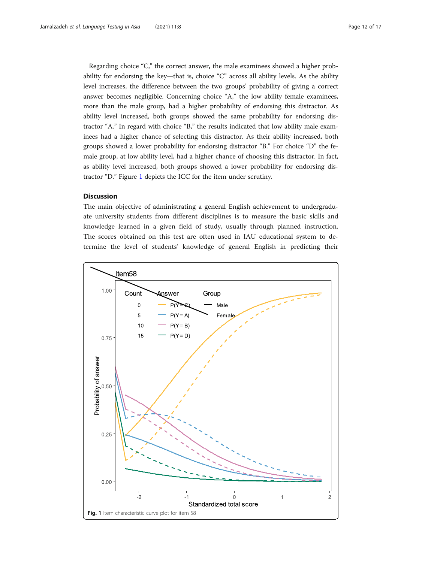Regarding choice "C," the correct answer, the male examinees showed a higher probability for endorsing the key—that is, choice "C" across all ability levels. As the ability level increases, the difference between the two groups' probability of giving a correct answer becomes negligible. Concerning choice "A," the low ability female examinees, more than the male group, had a higher probability of endorsing this distractor. As ability level increased, both groups showed the same probability for endorsing distractor "A." In regard with choice "B," the results indicated that low ability male examinees had a higher chance of selecting this distractor. As their ability increased, both groups showed a lower probability for endorsing distractor "B." For choice "D" the female group, at low ability level, had a higher chance of choosing this distractor. In fact, as ability level increased, both groups showed a lower probability for endorsing distractor "D." Figure 1 depicts the ICC for the item under scrutiny.

#### **Discussion**

The main objective of administrating a general English achievement to undergraduate university students from different disciplines is to measure the basic skills and knowledge learned in a given field of study, usually through planned instruction. The scores obtained on this test are often used in IAU educational system to determine the level of students' knowledge of general English in predicting their

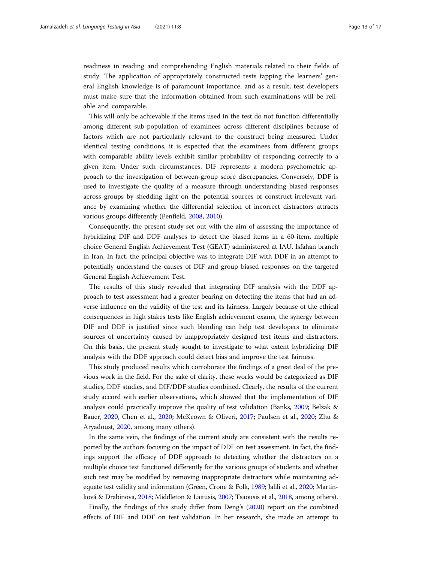readiness in reading and comprehending English materials related to their fields of study. The application of appropriately constructed tests tapping the learners' general English knowledge is of paramount importance, and as a result, test developers must make sure that the information obtained from such examinations will be reliable and comparable.

This will only be achievable if the items used in the test do not function differentially among different sub-population of examinees across different disciplines because of factors which are not particularly relevant to the construct being measured. Under identical testing conditions, it is expected that the examinees from different groups with comparable ability levels exhibit similar probability of responding correctly to a given item. Under such circumstances, DIF represents a modern psychometric approach to the investigation of between-group score discrepancies. Conversely, DDF is used to investigate the quality of a measure through understanding biased responses across groups by shedding light on the potential sources of construct-irrelevant variance by examining whether the differential selection of incorrect distractors attracts various groups differently (Penfield, [2008,](#page-16-0) [2010\)](#page-16-0).

Consequently, the present study set out with the aim of assessing the importance of hybridizing DIF and DDF analyses to detect the biased items in a 60-item, multiple choice General English Achievement Test (GEAT) administered at IAU, Isfahan branch in Iran. In fact, the principal objective was to integrate DIF with DDF in an attempt to potentially understand the causes of DIF and group biased responses on the targeted General English Achievement Test.

The results of this study revealed that integrating DIF analysis with the DDF approach to test assessment had a greater bearing on detecting the items that had an adverse influence on the validity of the test and its fairness. Largely because of the ethical consequences in high stakes tests like English achievement exams, the synergy between DIF and DDF is justified since such blending can help test developers to eliminate sources of uncertainty caused by inappropriately designed test items and distractors. On this basis, the present study sought to investigate to what extent hybridizing DIF analysis with the DDF approach could detect bias and improve the test fairness.

This study produced results which corroborate the findings of a great deal of the previous work in the field. For the sake of clarity, these works would be categorized as DIF studies, DDF studies, and DIF/DDF studies combined. Clearly, the results of the current study accord with earlier observations, which showed that the implementation of DIF analysis could practically improve the quality of test validation (Banks, [2009;](#page-15-0) Belzak & Bauer, [2020,](#page-15-0) Chen et al., [2020](#page-15-0); McKeown & Oliveri, [2017](#page-16-0); Paulsen et al., [2020](#page-16-0); Zhu & Aryadoust, [2020](#page-16-0), among many others).

In the same vein, the findings of the current study are consistent with the results reported by the authors focusing on the impact of DDF on test assessment. In fact, the findings support the efficacy of DDF approach to detecting whether the distractors on a multiple choice test functioned differently for the various groups of students and whether such test may be modified by removing inappropriate distractors while maintaining adequate test validity and information (Green, Crone & Folk, [1989;](#page-15-0) Jalili et al., [2020](#page-15-0); Martinková & Drabinova, [2018](#page-16-0); Middleton & Laitusis, [2007](#page-16-0); Tsaousis et al., [2018](#page-16-0), among others).

Finally, the findings of this study differ from Deng's ([2020](#page-15-0)) report on the combined effects of DIF and DDF on test validation. In her research, she made an attempt to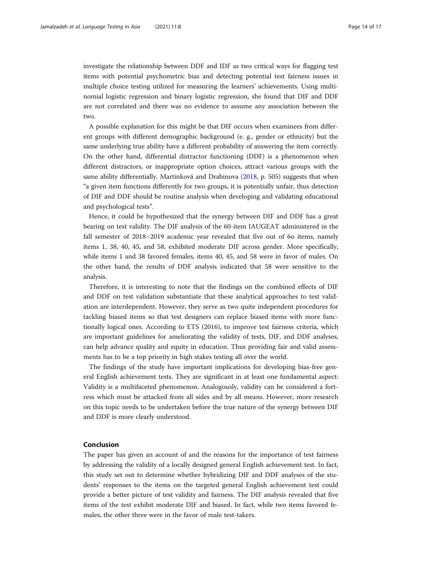investigate the relationship between DDF and IDF as two critical ways for flagging test items with potential psychometric bias and detecting potential test fairness issues in multiple choice testing utilized for measuring the learners' achievements. Using multinomial logistic regression and binary logistic regression, she found that DIF and DDF are not correlated and there was no evidence to assume any association between the two.

A possible explanation for this might be that DIF occurs when examinees from different groups with different demographic background (e. g., gender or ethnicity) but the same underlying true ability have a different probability of answering the item correctly. On the other hand, differential distractor functioning (DDF) is a phenomenon when different distractors, or inappropriate option choices, attract various groups with the same ability differentially. Martinková and Drabinova [\(2018,](#page-16-0) p. 505) suggests that when "a given item functions differently for two groups, it is potentially unfair, thus detection of DIF and DDF should be routine analysis when developing and validating educational and psychological tests".

Hence, it could be hypothesized that the synergy between DIF and DDF has a great bearing on test validity. The DIF analysis of the 60-item IAUGEAT administered in the fall semester of 2018–2019 academic year revealed that five out of 6o items, namely items 1, 38, 40, 45, and 58, exhibited moderate DIF across gender. More specifically, while items 1 and 38 favored females, items 40, 45, and 58 were in favor of males. On the other hand, the results of DDF analysis indicated that 58 were sensitive to the analysis.

Therefore, it is interesting to note that the findings on the combined effects of DIF and DDF on test validation substantiate that these analytical approaches to test validation are interdependent. However, they serve as two quite independent procedures for tackling biased items so that test designers can replace biased items with more functionally logical ones. According to ETS (2016), to improve test fairness criteria, which are important guidelines for ameliorating the validity of tests, DIF, and DDF analyses, can help advance quality and equity in education. Thus providing fair and valid assessments has to be a top priority in high stakes testing all over the world.

The findings of the study have important implications for developing bias-free general English achievement tests. They are significant in at least one fundamental aspect: Validity is a multifaceted phenomenon. Analogously, validity can be considered a fortress which must be attacked from all sides and by all means. However, more research on this topic needs to be undertaken before the true nature of the synergy between DIF and DDF is more clearly understood.

## Conclusion

The paper has given an account of and the reasons for the importance of test fairness by addressing the validity of a locally designed general English achievement test. In fact, this study set out to determine whether hybridizing DIF and DDF analyses of the students' responses to the items on the targeted general English achievement test could provide a better picture of test validity and fairness. The DIF analysis revealed that five items of the test exhibit moderate DIF and biased. In fact, while two items favored females, the other three were in the favor of male test-takers.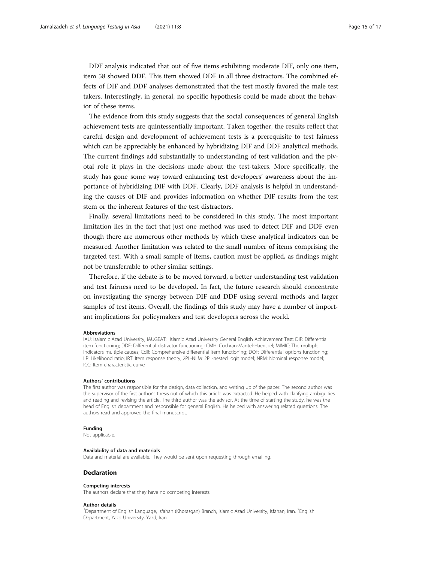DDF analysis indicated that out of five items exhibiting moderate DIF, only one item, item 58 showed DDF. This item showed DDF in all three distractors. The combined effects of DIF and DDF analyses demonstrated that the test mostly favored the male test takers. Interestingly, in general, no specific hypothesis could be made about the behavior of these items.

The evidence from this study suggests that the social consequences of general English achievement tests are quintessentially important. Taken together, the results reflect that careful design and development of achievement tests is a prerequisite to test fairness which can be appreciably be enhanced by hybridizing DIF and DDF analytical methods. The current findings add substantially to understanding of test validation and the pivotal role it plays in the decisions made about the test-takers. More specifically, the study has gone some way toward enhancing test developers' awareness about the importance of hybridizing DIF with DDF. Clearly, DDF analysis is helpful in understanding the causes of DIF and provides information on whether DIF results from the test stem or the inherent features of the test distractors.

Finally, several limitations need to be considered in this study. The most important limitation lies in the fact that just one method was used to detect DIF and DDF even though there are numerous other methods by which these analytical indicators can be measured. Another limitation was related to the small number of items comprising the targeted test. With a small sample of items, caution must be applied, as findings might not be transferrable to other similar settings.

Therefore, if the debate is to be moved forward, a better understanding test validation and test fairness need to be developed. In fact, the future research should concentrate on investigating the synergy between DIF and DDF using several methods and larger samples of test items. Overall, the findings of this study may have a number of important implications for policymakers and test developers across the world.

#### Abbreviations

IAU: Isalamic Azad University; IAUGEAT: Islamic Azad University General English Achievement Test; DIF: Differential item functioning; DDF: Differential distractor functioning; CMH: Cochran-Mantel-Haenszel; MIMIC: The multiple indicators multiple causes; Cdif: Comprehensive differential item functioning; DOF: Differential options functioning; LR: Likelihood ratio; IRT: Item response theory; 2PL-NLM: 2PL-nested logit model; NRM: Nominal response model; ICC: Item characteristic curve

#### Authors' contributions

The first author was responsible for the design, data collection, and writing up of the paper. The second author was the supervisor of the first author's thesis out of which this article was extracted. He helped with clarifying ambiguities and reading and revising the article. The third author was the advisor. At the time of starting the study, he was the head of English department and responsible for general English. He helped with answering related questions. The authors read and approved the final manuscript.

#### Funding

Not applicable.

#### Availability of data and materials

Data and material are available. They would be sent upon requesting through emailing.

#### Declaration

#### Competing interests

The authors declare that they have no competing interests.

#### Author details

<sup>1</sup>Department of English Language, Isfahan (Khorasgan) Branch, Islamic Azad University, Isfahan, Iran. <sup>2</sup>English Department, Yazd University, Yazd, Iran.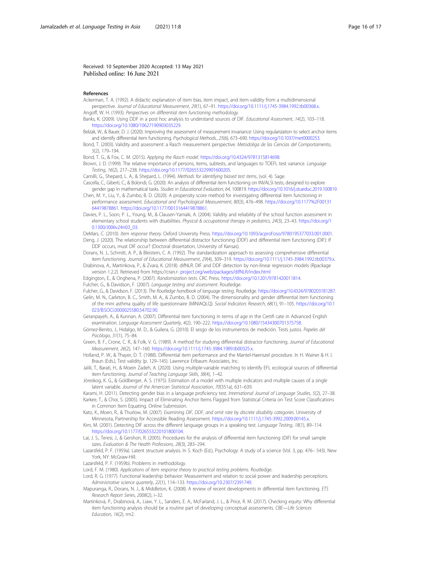#### <span id="page-15-0"></span>Received: 10 September 2020 Accepted: 13 May 2021 Published online: 16 June 2021

#### References

- Ackerman, T. A. (1992). A didactic explanation of item bias, item impact, and item validity from a multidimensional perspective. Journal of Educational Measurement, 29(1), 67–91. <https://doi.org/10.1111/j.1745-3984.1992.tb00368.x>. Angoff, W. H. (1993). Perspectives on differential item functioning methodology.
- Banks, K. (2009). Using DDF in a post hoc analysis to understand sources of DIF. Educational Assessment, 14(2), 103–118.
- [https://doi.org/10.1080/10627190903035229.](https://doi.org/10.1080/10627190903035229)
- Belzak, W., & Bauer, D. J. (2020). Improving the assessment of measurement invariance: Using regularization to select anchor items and identify differential item functioning. Psychological Methods., 25(6), 673–690. [https://doi.org/10.1037/met0000253.](https://doi.org/10.1037/met0000253)
- Bond, T. (2003). Validity and assessment: a Rasch measurement perspective. Metodoliga de las Ciencias del Comportamento, 5(2), 179–194.
- Bond, T. G., & Fox, C. M. (2015). Applying the Rasch model. [https://doi.org/10.4324/9781315814698.](https://doi.org/10.4324/9781315814698)
- Brown, J. D. (1999). The relative importance of persons, items, subtests, and languages to TOEFL test variance. Language Testing, 16(2), 217–238. <https://doi.org/10.1177/026553229901600205>.
- Camilli, G., Shepard, L. A., & Shepard, L. (1994). Methods for identifying biased test items, (vol. 4). Sage. Cascella, C., Giberti, C., & Bolondi, G. (2020). An analysis of differential item functioning on INVALSI tests, designed to explore gender gap in mathematical tasks. Studies in Educational Evaluation, 64, 100819. <https://doi.org/10.1016/j.stueduc.2019.100819>.
- Chen, M. Y., Liu, Y., & Zumbo, B. D. (2020). A propensity score method for investigating differential item functioning in performance assessment. Educational and Psychological Measurement, 80(3), 476–498. [https://doi.org/10.1177%2F00131](https://doi.org/10.1177/0013164419878861) [64419878861](https://doi.org/10.1177/0013164419878861). <https://doi.org/10.1177/0013164419878861>.
- Davies, P. L., Soon, P. L., Young, M., & Clausen-Yamaki, A. (2004). Validity and reliability of the school function assessment in elementary school students with disabilities. Physical & occupational therapy in pediatrics, 24(3), 23–43. [https://doi.org/1](https://doi.org/10.1300/J006v24n03_03) [0.1300/J006v24n03\\_03](https://doi.org/10.1300/J006v24n03_03).
- DeMars, C. (2010). Item response theory. Oxford University Press. <https://doi.org/10.1093/acprof:oso/9780195377033.001.0001>. Deng, J. (2020). The relationship between differential distractor functioning (DDF) and differential item functioning (DIF): If
- DDF occurs, must DIF occur? (Doctoral dissertation, University of Kansas).
- Dorans, N. J., Schmitt, A. P., & Bleistein, C. A. (1992). The standardization approach to assessing comprehensive differential item functioning. Journal of Educational Measurement, 29(4), 309–319. <https://doi.org/10.1111/j.1745-3984.1992.tb00379.x>.
- Drabinova, A., Martinkova, P., & Zvara, K. (2018). difNLR: DIF and DDF detection by non-linear regression models (Rpackage version 1.2.2). Retrieved from https://cran.r- [project.org/web/packages/difNLR/index.html](http://project.org/web/packages/difNLR/index.html)
- Edgington, E., & Onghena, P. (2007). Randomization tests. CRC Press. <https://doi.org/10.1201/9781420011814>.
- Fulcher, G., & Davidson, F. (2007). Language testing and assessment. Routledge.

Fulcher, G., & Davidson, F. (2013). The Routledge handbook of language testing. Routledge. [https://doi.org/10.4324/9780203181287.](https://doi.org/10.4324/9780203181287)

- Gelin, M. N., Carleton, B. C., Smith, M. A., & Zumbo, B. D. (2004). The dimensionality and gender differential item functioning of the mini asthma quality of life questionnaire (MINIAQLQ). Social Indicators Research, 68(1), 91–105. [https://doi.org/10.1](https://doi.org/10.1023/B:SOCI.0000025580.54702.90) [023/B:SOCI.0000025580.54702.90](https://doi.org/10.1023/B:SOCI.0000025580.54702.90).
- Geranpayeh, A., & Kunnan, A. (2007). Differential item functioning in terms of age in the Certifi cate in Advanced English examination. Language Assessment Quarterly, 4(2), 190–222. <https://doi.org/10.1080/15434300701375758>.
- Gómez-Benito, J., Hidalgo, M. D., & Guilera, G. (2010). El sesgo de los instrumentos de medición. Tests justos. Papeles del Psicólogo, 31(1), 75–84.
- Green, B. F., Crone, C. R., & Folk, V. G. (1989). A method for studying differential distractor functioning. Journal of Educational Measurement, 26(2), 147–160. <https://doi.org/10.1111/j.1745-3984.1989.tb00325.x>.
- Holland, P. W., & Thayer, D. T. (1988). Differential item performance and the Mantel-Haenszel procedure. In H. Wainer & H. I. Braun (Eds.), Test validity (p. 129–145). Lawrence Erlbaum Associates, Inc.
- Jalili, T., Barati, H., & Moein Zadeh, A. (2020). Using multiple-variable matching to identify EFL ecological sources of differential item functioning. Journal of Teaching Language Skills, 38(4), 1–42.
- Jöreskog, K. G., & Goldberger, A. S. (1975). Estimation of a model with multiple indicators and multiple causes of a single latent variable. Journal of the American Statistical Association, 70(351a), 631–639.
- Karami, H. (2011). Detecting gender bias in a language proficiency test. International Journal of Language Studies, 5(2), 27–38. Karkee, T., & Choi, S. (2005). Impact of Eliminating Anchor Items Flagged from Statistical Criteria on Test Score Classifications in Common Item Equating. Online Submission.
- Kato, K., Moen, R., & Thurlow, M. (2007). Examining DIF, DDF, and omit rate by discrete disability categories. University of Minnesota, Partnership for Accessible Reading Assessment. <https://doi.org/10.1111/j.1745-3992.2009.00145.x>.
- Kim, M. (2001). Detecting DIF across the different language groups in a speaking test. Language Testing, 18(1), 89-114. <https://doi.org/10.1177/026553220101800104>.
- Lai, J. S., Teresi, J., & Gershon, R. (2005). Procedures for the analysis of differential item functioning (DIF) for small sample sizes. Evaluation & The Health Professions, 28(3), 283–294.
- Lazarsfeld, P. F. (1959a). Latent structure analysis. In S. Koch (Ed.), Psychology: A study of a science (Vol. 3, pp. 476– 543). New York, NY: McGraw-Hill.
- Lazarsfeld, P. F. (1959b). Problems in methodology.
- Lord, F. M. (1980). Applications of item response theory to practical testing problems. Routledge.
- Lord, R. G. (1977). Functional leadership behavior: Measurement and relation to social power and leadership perceptions. Administrative science quarterly, 22(1), 114–133. [https://doi.org/10.2307/2391749.](https://doi.org/10.2307/2391749)
- Mapuranga, R., Dorans, N. J., & Middleton, K. (2008). A review of recent developments in differential item functioning. ETS Research Report Series, 2008(2), i–32.
- Martinková, P., Drabinová, A., Liaw, Y. L., Sanders, E. A., McFarland, J. L., & Price, R. M. (2017). Checking equity: Why differential item functioning analysis should be a routine part of developing conceptual assessments. CBE—Life Sciences Education, 16(2), rm2.